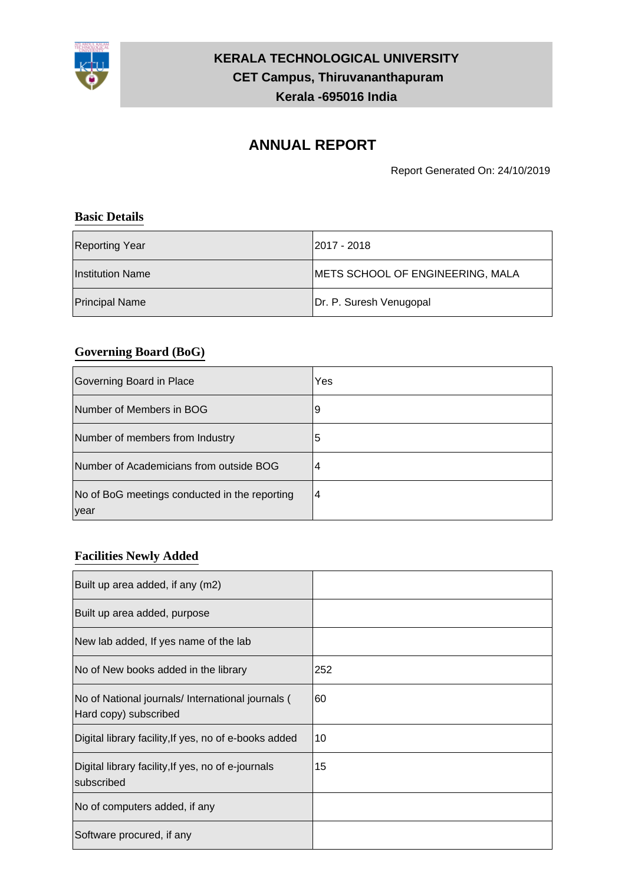

# **KERALA TECHNOLOGICAL UNIVERSITY CET Campus, Thiruvananthapuram Kerala -695016 India**

# **ANNUAL REPORT**

Report Generated On: 24/10/2019

#### **Basic Details**

| Reporting Year        | l2017 - 2018                     |
|-----------------------|----------------------------------|
| Institution Name      | METS SCHOOL OF ENGINEERING, MALA |
| <b>Principal Name</b> | Dr. P. Suresh Venugopal          |

#### **Governing Board (BoG)**

| Governing Board in Place                               | Yes |
|--------------------------------------------------------|-----|
| Number of Members in BOG                               | 9   |
| Number of members from Industry                        | 5   |
| Number of Academicians from outside BOG                | 4   |
| No of BoG meetings conducted in the reporting<br> year | 4   |

#### **Facilities Newly Added**

| Built up area added, if any (m2)                                           |     |
|----------------------------------------------------------------------------|-----|
| Built up area added, purpose                                               |     |
| New lab added, If yes name of the lab                                      |     |
| No of New books added in the library                                       | 252 |
| No of National journals/ International journals (<br>Hard copy) subscribed | 60  |
| Digital library facility, If yes, no of e-books added                      | 10  |
| Digital library facility, If yes, no of e-journals<br>subscribed           | 15  |
| No of computers added, if any                                              |     |
| Software procured, if any                                                  |     |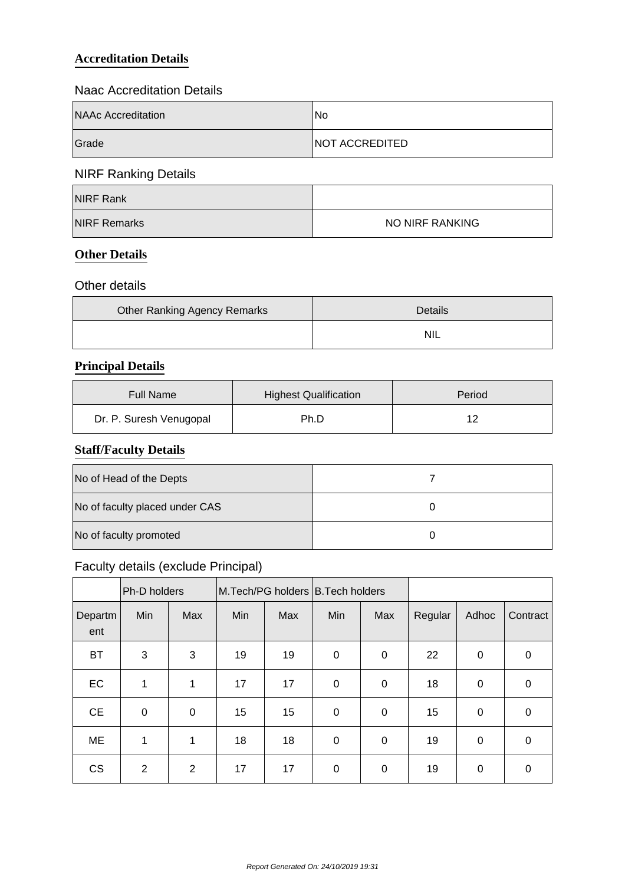#### **Accreditation Details**

#### Naac Accreditation Details

| NAAc Accreditation | No.            |  |  |  |
|--------------------|----------------|--|--|--|
| Grade              | NOT ACCREDITED |  |  |  |

# NIRF Ranking Details

| NIRF Rank           |                 |
|---------------------|-----------------|
| <b>NIRF Remarks</b> | NO NIRF RANKING |

#### **Other Details**

#### Other details

| <b>Other Ranking Agency Remarks</b> | Details |
|-------------------------------------|---------|
|                                     | NIL     |

#### **Principal Details**

| <b>Highest Qualification</b><br><b>Full Name</b> |      | Period |
|--------------------------------------------------|------|--------|
| Dr. P. Suresh Venugopal                          | Ph.D | 10     |

#### **Staff/Faculty Details**

| No of Head of the Depts        |  |
|--------------------------------|--|
| No of faculty placed under CAS |  |
| No of faculty promoted         |  |

# Faculty details (exclude Principal)

|                | Ph-D holders   |             | M.Tech/PG holders B.Tech holders |     |             |                  |         |             |             |
|----------------|----------------|-------------|----------------------------------|-----|-------------|------------------|---------|-------------|-------------|
| Departm<br>ent | Min            | Max         | Min                              | Max | Min         | Max              | Regular | Adhoc       | Contract    |
| <b>BT</b>      | 3              | 3           | 19                               | 19  | $\mathbf 0$ | $\boldsymbol{0}$ | 22      | $\mathbf 0$ | 0           |
| EC             | 1              | 1           | 17                               | 17  | $\mathbf 0$ | $\boldsymbol{0}$ | 18      | 0           | $\mathbf 0$ |
| <b>CE</b>      | $\mathbf 0$    | $\mathbf 0$ | 15                               | 15  | 0           | $\mathbf 0$      | 15      | 0           | $\mathbf 0$ |
| ME             | 1              | 1           | 18                               | 18  | 0           | $\boldsymbol{0}$ | 19      | $\mathbf 0$ | 0           |
| <b>CS</b>      | $\overline{2}$ | 2           | 17                               | 17  | 0           | $\pmb{0}$        | 19      | $\mathbf 0$ | $\mathbf 0$ |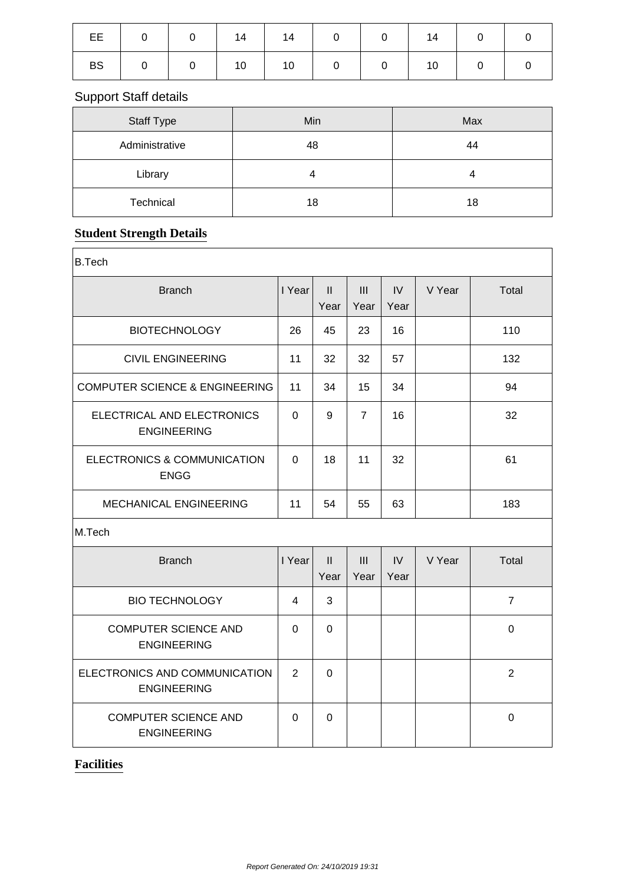| EE   0   0   14   14   0   0   14   0   0 |  |  |  |  |
|-------------------------------------------|--|--|--|--|
| BS   0   0   10   10   0   0   10   0   0 |  |  |  |  |

# Support Staff details

| <b>Staff Type</b> | Min | Max |
|-------------------|-----|-----|
| Administrative    | 48  | 44  |
| Library           |     | 4   |
| Technical         | 18  | 18  |

# **Student Strength Details**

| <b>B.Tech</b>                                       |          |                       |                |            |        |                |
|-----------------------------------------------------|----------|-----------------------|----------------|------------|--------|----------------|
| <b>Branch</b>                                       |          | $\mathbf{II}$<br>Year | III<br>Year    | IV<br>Year | V Year | Total          |
| <b>BIOTECHNOLOGY</b>                                | 26       | 45                    | 23             | 16         |        | 110            |
| <b>CIVIL ENGINEERING</b>                            | 11       | 32                    | 32             | 57         |        | 132            |
| <b>COMPUTER SCIENCE &amp; ENGINEERING</b>           | 11       | 34                    | 15             | 34         |        | 94             |
| ELECTRICAL AND ELECTRONICS<br><b>ENGINEERING</b>    | $\Omega$ | 9                     | $\overline{7}$ | 16         |        | 32             |
| ELECTRONICS & COMMUNICATION<br><b>ENGG</b>          |          | 18                    | 11             | 32         |        | 61             |
| MECHANICAL ENGINEERING                              | 11       | 54                    | 55             | 63         |        | 183            |
| M.Tech                                              |          |                       |                |            |        |                |
| <b>Branch</b>                                       | I Year   | $\mathbf{II}$<br>Year | III<br>Year    | IV<br>Year | V Year | Total          |
| <b>BIO TECHNOLOGY</b>                               | 4        | 3                     |                |            |        | $\overline{7}$ |
| <b>COMPUTER SCIENCE AND</b><br><b>ENGINEERING</b>   |          | 0                     |                |            |        | $\Omega$       |
| ELECTRONICS AND COMMUNICATION<br><b>ENGINEERING</b> | 2        | 0                     |                |            |        | $\overline{2}$ |
| <b>COMPUTER SCIENCE AND</b><br><b>ENGINEERING</b>   | 0        | 0                     |                |            |        | $\mathbf 0$    |

#### **Facilities**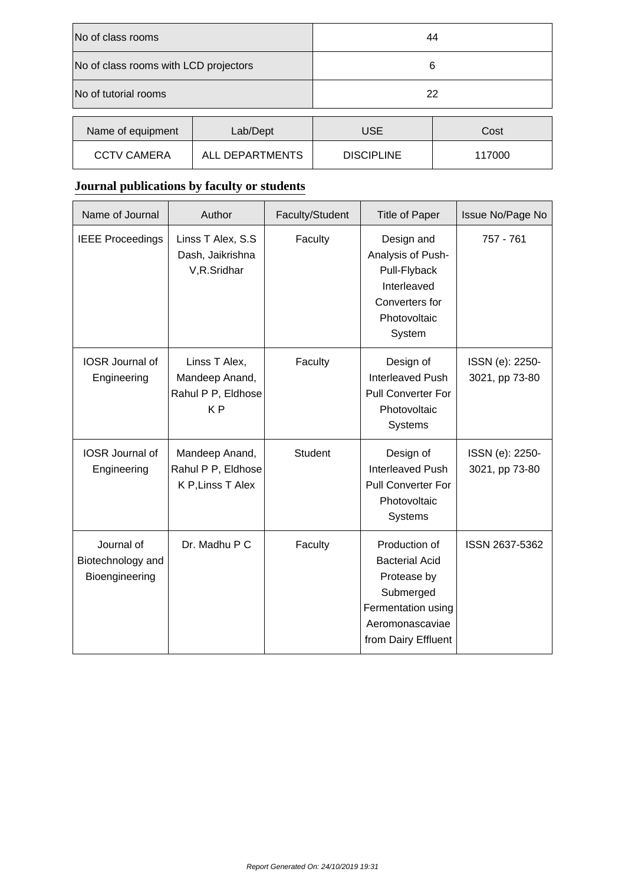| No of class rooms                     |          | 44                |        |  |
|---------------------------------------|----------|-------------------|--------|--|
| No of class rooms with LCD projectors |          | 6                 |        |  |
| No of tutorial rooms                  |          | 22                |        |  |
| Name of equipment                     | Lab/Dept | <b>USE</b>        | Cost   |  |
| ALL DEPARTMENTS<br><b>CCTV CAMERA</b> |          | <b>DISCIPLINE</b> | 117000 |  |

# **Journal publications by faculty or students**

| Name of Journal                                   | Author                                                                  | Faculty/Student | <b>Title of Paper</b>                                                                                                              | Issue No/Page No                  |
|---------------------------------------------------|-------------------------------------------------------------------------|-----------------|------------------------------------------------------------------------------------------------------------------------------------|-----------------------------------|
| <b>IEEE Proceedings</b>                           | Linss T Alex, S.S<br>Dash, Jaikrishna<br>V,R.Sridhar                    | Faculty         | Design and<br>Analysis of Push-<br>Pull-Flyback<br>Interleaved<br>Converters for<br>Photovoltaic<br>System                         | 757 - 761                         |
| <b>IOSR</b> Journal of<br>Engineering             | Linss T Alex,<br>Mandeep Anand,<br>Rahul P P, Eldhose<br>K <sub>P</sub> | Faculty         | Design of<br><b>Interleaved Push</b><br><b>Pull Converter For</b><br>Photovoltaic<br>Systems                                       | ISSN (e): 2250-<br>3021, pp 73-80 |
| <b>IOSR</b> Journal of<br>Engineering             | Mandeep Anand,<br>Rahul P P, Eldhose<br>K P, Linss T Alex               | <b>Student</b>  | Design of<br><b>Interleaved Push</b><br><b>Pull Converter For</b><br>Photovoltaic<br>Systems                                       | ISSN (e): 2250-<br>3021, pp 73-80 |
| Journal of<br>Biotechnology and<br>Bioengineering | Dr. Madhu P C                                                           | Faculty         | Production of<br><b>Bacterial Acid</b><br>Protease by<br>Submerged<br>Fermentation using<br>Aeromonascaviae<br>from Dairy Effluent | ISSN 2637-5362                    |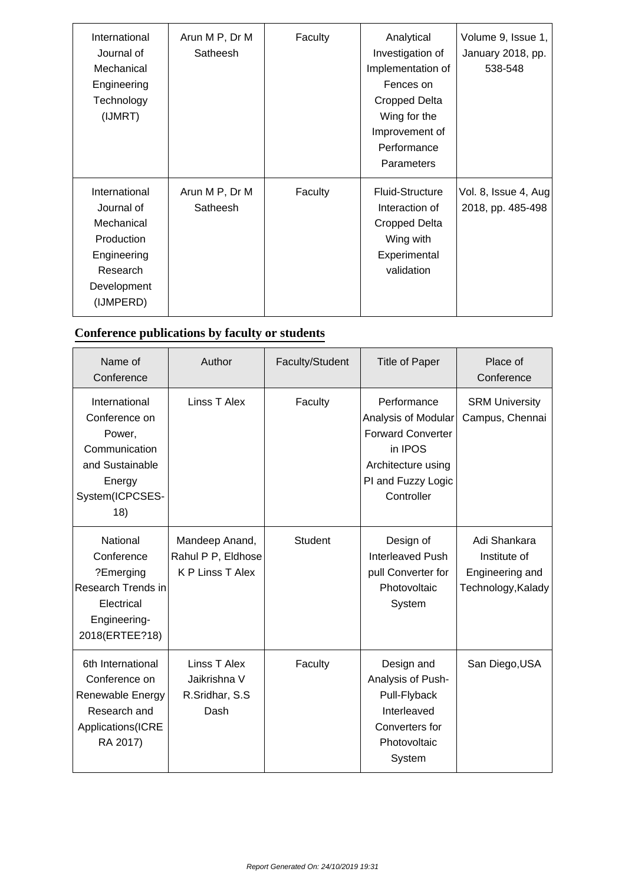| International<br>Journal of<br>Mechanical<br>Engineering<br>Technology<br>(IJMRT)                              | Arun M P, Dr M<br>Satheesh | Faculty | Analytical<br>Investigation of<br>Implementation of<br>Fences on<br><b>Cropped Delta</b><br>Wing for the<br>Improvement of<br>Performance<br><b>Parameters</b> | Volume 9, Issue 1,<br>January 2018, pp.<br>538-548 |
|----------------------------------------------------------------------------------------------------------------|----------------------------|---------|----------------------------------------------------------------------------------------------------------------------------------------------------------------|----------------------------------------------------|
| International<br>Journal of<br>Mechanical<br>Production<br>Engineering<br>Research<br>Development<br>(IJMPERD) | Arun M P, Dr M<br>Satheesh | Faculty | <b>Fluid-Structure</b><br>Interaction of<br><b>Cropped Delta</b><br>Wing with<br>Experimental<br>validation                                                    | Vol. 8, Issue 4, Aug<br>2018, pp. 485-498          |

# **Conference publications by faculty or students**

| Name of<br>Conference                                                                                             | Author                                                          | Faculty/Student | <b>Title of Paper</b>                                                                                                               | Place of<br>Conference                                                |
|-------------------------------------------------------------------------------------------------------------------|-----------------------------------------------------------------|-----------------|-------------------------------------------------------------------------------------------------------------------------------------|-----------------------------------------------------------------------|
| International<br>Conference on<br>Power,<br>Communication<br>and Sustainable<br>Energy<br>System(ICPCSES-<br>(18) | Linss T Alex                                                    | Faculty         | Performance<br>Analysis of Modular<br><b>Forward Converter</b><br>in IPOS<br>Architecture using<br>PI and Fuzzy Logic<br>Controller | <b>SRM University</b><br>Campus, Chennai                              |
| National<br>Conference<br>?Emerging<br>Research Trends in<br>Electrical<br>Engineering-<br>2018(ERTEE?18)         | Mandeep Anand,<br>Rahul P P, Eldhose<br><b>K P Linss T Alex</b> | <b>Student</b>  | Design of<br><b>Interleaved Push</b><br>pull Converter for<br>Photovoltaic<br>System                                                | Adi Shankara<br>Institute of<br>Engineering and<br>Technology, Kalady |
| 6th International<br>Conference on<br>Renewable Energy<br>Research and<br>Applications(ICRE<br>RA 2017)           | Linss T Alex<br>Jaikrishna V<br>R.Sridhar, S.S.<br>Dash         | Faculty         | Design and<br>Analysis of Push-<br>Pull-Flyback<br>Interleaved<br>Converters for<br>Photovoltaic<br>System                          | San Diego, USA                                                        |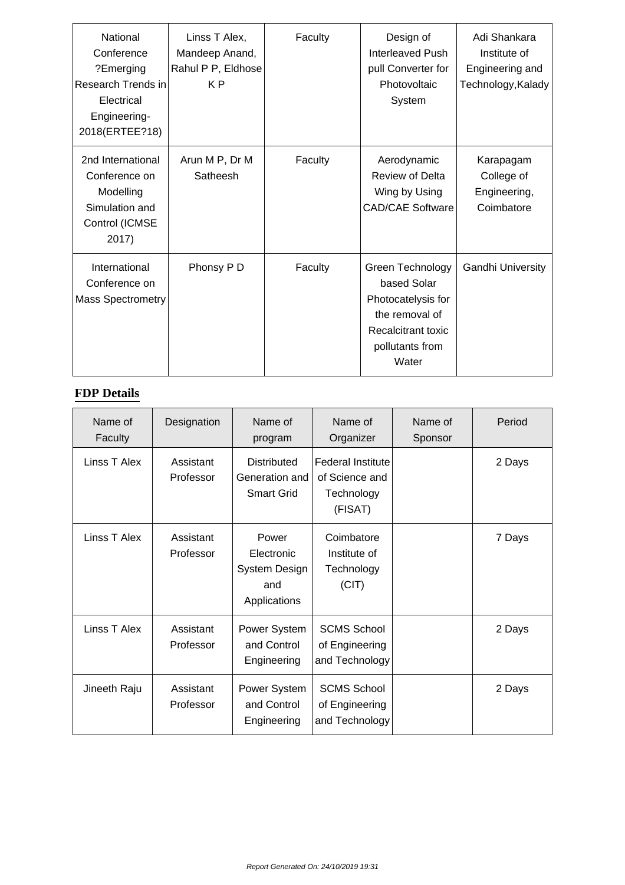| National<br>Conference<br>?Emerging<br>Research Trends in<br>Electrical<br>Engineering-<br>2018(ERTEE?18) | Linss T Alex,<br>Mandeep Anand,<br>Rahul P P, Eldhose<br>K <sub>P</sub> | Faculty | Design of<br>Interleaved Push<br>pull Converter for<br>Photovoltaic<br>System                                             | Adi Shankara<br>Institute of<br>Engineering and<br>Technology, Kalady |
|-----------------------------------------------------------------------------------------------------------|-------------------------------------------------------------------------|---------|---------------------------------------------------------------------------------------------------------------------------|-----------------------------------------------------------------------|
| 2nd International<br>Conference on<br>Modelling<br>Simulation and<br>Control (ICMSE<br>2017)              | Arun M P, Dr M<br>Satheesh                                              | Faculty | Aerodynamic<br><b>Review of Delta</b><br>Wing by Using<br><b>CAD/CAE Software</b>                                         | Karapagam<br>College of<br>Engineering,<br>Coimbatore                 |
| International<br>Conference on<br><b>Mass Spectrometry</b>                                                | Phonsy P D                                                              | Faculty | Green Technology<br>based Solar<br>Photocatelysis for<br>the removal of<br>Recalcitrant toxic<br>pollutants from<br>Water | Gandhi University                                                     |

#### **FDP Details**

| Name of<br>Faculty | Designation            | Name of<br>program                                          | Name of<br>Organizer                                                | Name of<br>Sponsor | Period |
|--------------------|------------------------|-------------------------------------------------------------|---------------------------------------------------------------------|--------------------|--------|
| Linss T Alex       | Assistant<br>Professor | <b>Distributed</b><br>Generation and<br><b>Smart Grid</b>   | <b>Federal Institute</b><br>of Science and<br>Technology<br>(FISAT) |                    | 2 Days |
| Linss T Alex       | Assistant<br>Professor | Power<br>Electronic<br>System Design<br>and<br>Applications | Coimbatore<br>Institute of<br>Technology<br>(CIT)                   |                    | 7 Days |
| Linss T Alex       | Assistant<br>Professor | Power System<br>and Control<br>Engineering                  | <b>SCMS School</b><br>of Engineering<br>and Technology              |                    | 2 Days |
| Jineeth Raju       | Assistant<br>Professor | Power System<br>and Control<br>Engineering                  | <b>SCMS School</b><br>of Engineering<br>and Technology              |                    | 2 Days |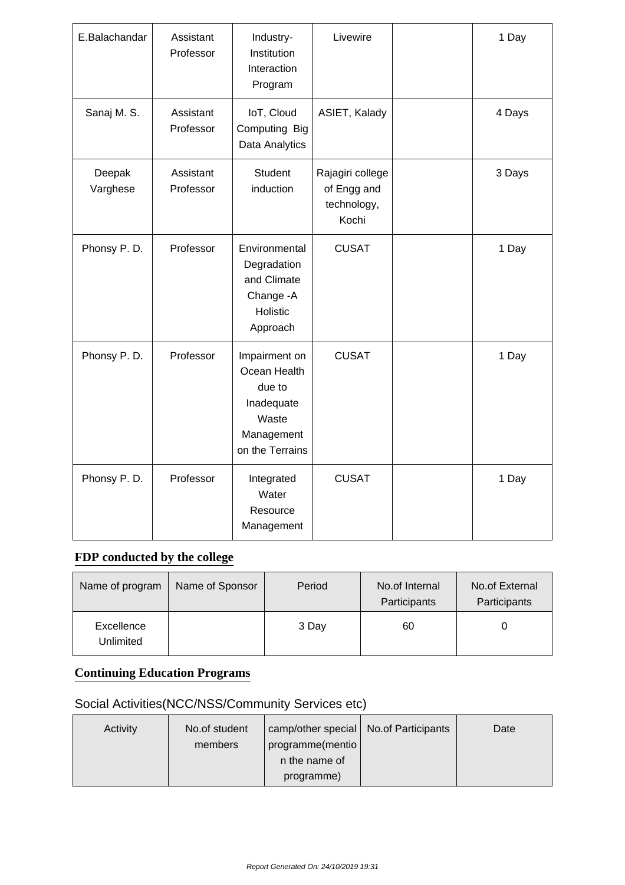| E.Balachandar      | Assistant<br>Professor | Industry-<br>Institution<br>Interaction<br>Program                                              | Livewire                                                | 1 Day  |
|--------------------|------------------------|-------------------------------------------------------------------------------------------------|---------------------------------------------------------|--------|
| Sanaj M. S.        | Assistant<br>Professor | IoT, Cloud<br>Computing Big<br>Data Analytics                                                   | ASIET, Kalady                                           | 4 Days |
| Deepak<br>Varghese | Assistant<br>Professor | <b>Student</b><br>induction                                                                     | Rajagiri college<br>of Engg and<br>technology,<br>Kochi | 3 Days |
| Phonsy P.D.        | Professor              | Environmental<br>Degradation<br>and Climate<br>Change - A<br>Holistic<br>Approach               | <b>CUSAT</b>                                            | 1 Day  |
| Phonsy P.D.        | Professor              | Impairment on<br>Ocean Health<br>due to<br>Inadequate<br>Waste<br>Management<br>on the Terrains | <b>CUSAT</b>                                            | 1 Day  |
| Phonsy P.D.        | Professor              | Integrated<br>Water<br>Resource<br>Management                                                   | <b>CUSAT</b>                                            | 1 Day  |

#### **FDP conducted by the college**

| Name of program         | Name of Sponsor | Period | No.of Internal<br>Participants | No.of External<br>Participants |
|-------------------------|-----------------|--------|--------------------------------|--------------------------------|
| Excellence<br>Unlimited |                 | 3 Day  | 60                             |                                |

#### **Continuing Education Programs**

# Social Activities(NCC/NSS/Community Services etc)

| Activity | No.of student | camp/other special   No.of Participants | Date |
|----------|---------------|-----------------------------------------|------|
|          | members       | programme(mentio)                       |      |
|          |               | n the name of                           |      |
|          |               | programme)                              |      |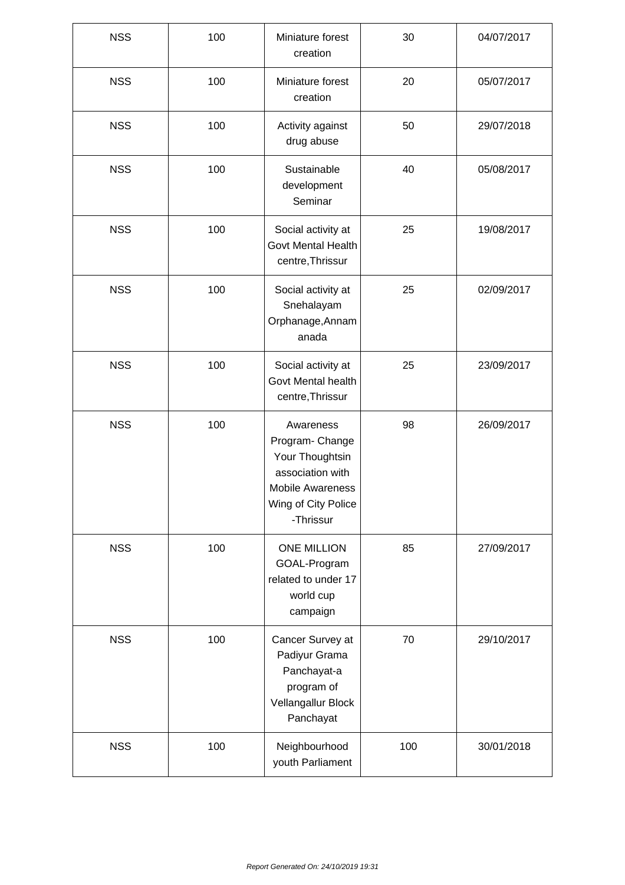| <b>NSS</b> | 100 | Miniature forest<br>creation                                                                                                       | 30  | 04/07/2017 |
|------------|-----|------------------------------------------------------------------------------------------------------------------------------------|-----|------------|
| <b>NSS</b> | 100 | Miniature forest<br>creation                                                                                                       | 20  | 05/07/2017 |
| <b>NSS</b> | 100 | Activity against<br>drug abuse                                                                                                     | 50  | 29/07/2018 |
| <b>NSS</b> | 100 | Sustainable<br>development<br>Seminar                                                                                              | 40  | 05/08/2017 |
| <b>NSS</b> | 100 | Social activity at<br><b>Govt Mental Health</b><br>centre, Thrissur                                                                | 25  | 19/08/2017 |
| <b>NSS</b> | 100 | Social activity at<br>Snehalayam<br>Orphanage, Annam<br>anada                                                                      | 25  | 02/09/2017 |
| <b>NSS</b> | 100 | Social activity at<br>Govt Mental health<br>centre, Thrissur                                                                       | 25  | 23/09/2017 |
| <b>NSS</b> | 100 | Awareness<br>Program- Change<br>Your Thoughtsin<br>association with<br><b>Mobile Awareness</b><br>Wing of City Police<br>-Thrissur | 98  | 26/09/2017 |
| <b>NSS</b> | 100 | <b>ONE MILLION</b><br>GOAL-Program<br>related to under 17<br>world cup<br>campaign                                                 | 85  | 27/09/2017 |
| <b>NSS</b> | 100 | Cancer Survey at<br>Padiyur Grama<br>Panchayat-a<br>program of<br>Vellangallur Block<br>Panchayat                                  | 70  | 29/10/2017 |
| <b>NSS</b> | 100 | Neighbourhood<br>youth Parliament                                                                                                  | 100 | 30/01/2018 |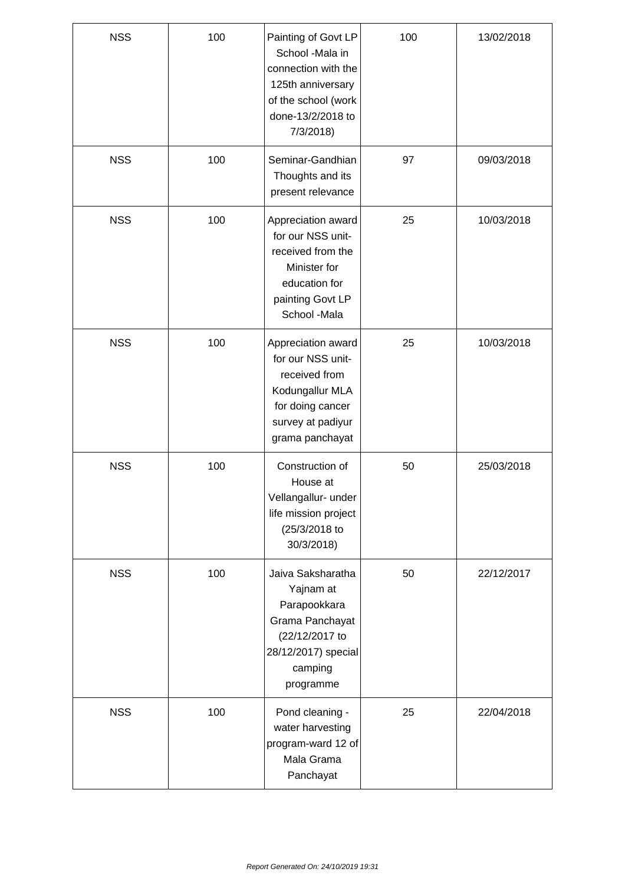| <b>NSS</b> | 100 | Painting of Govt LP<br>School -Mala in<br>connection with the<br>125th anniversary<br>of the school (work<br>done-13/2/2018 to<br>7/3/2018 | 100 | 13/02/2018 |
|------------|-----|--------------------------------------------------------------------------------------------------------------------------------------------|-----|------------|
| <b>NSS</b> | 100 | Seminar-Gandhian<br>Thoughts and its<br>present relevance                                                                                  | 97  | 09/03/2018 |
| <b>NSS</b> | 100 | Appreciation award<br>for our NSS unit-<br>received from the<br>Minister for<br>education for<br>painting Govt LP<br>School -Mala          | 25  | 10/03/2018 |
| <b>NSS</b> | 100 | Appreciation award<br>for our NSS unit-<br>received from<br>Kodungallur MLA<br>for doing cancer<br>survey at padiyur<br>grama panchayat    | 25  | 10/03/2018 |
| <b>NSS</b> | 100 | Construction of<br>House at<br>Vellangallur- under<br>life mission project<br>(25/3/2018 to<br>30/3/2018)                                  | 50  | 25/03/2018 |
| <b>NSS</b> | 100 | Jaiva Saksharatha<br>Yajnam at<br>Parapookkara<br>Grama Panchayat<br>(22/12/2017 to<br>28/12/2017) special<br>camping<br>programme         | 50  | 22/12/2017 |
| <b>NSS</b> | 100 | Pond cleaning -<br>water harvesting<br>program-ward 12 of<br>Mala Grama<br>Panchayat                                                       | 25  | 22/04/2018 |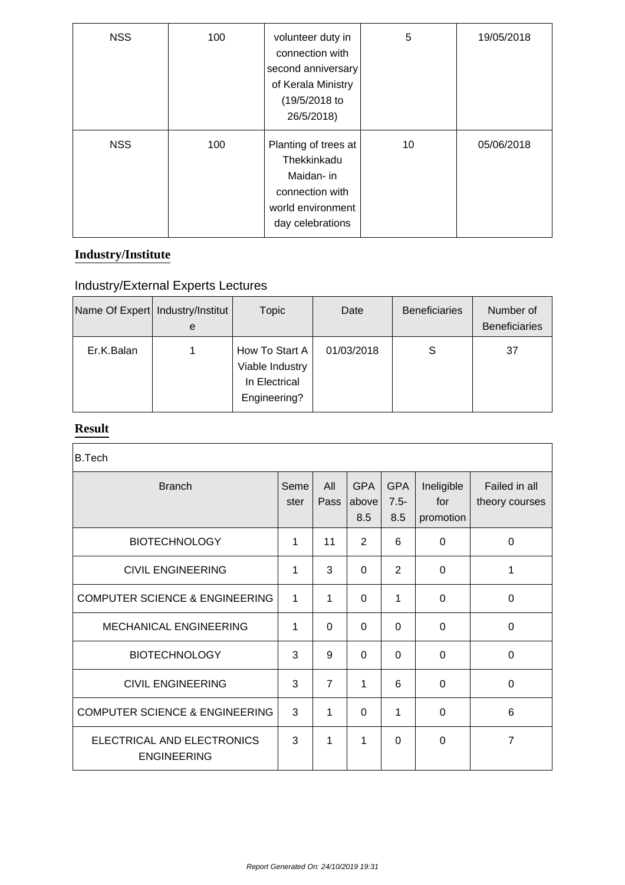| <b>NSS</b> | 100 | volunteer duty in<br>connection with<br>second anniversary<br>of Kerala Ministry<br>(19/5/2018 to<br>26/5/2018) | 5  | 19/05/2018 |
|------------|-----|-----------------------------------------------------------------------------------------------------------------|----|------------|
| <b>NSS</b> | 100 | Planting of trees at<br>Thekkinkadu<br>Maidan- in<br>connection with<br>world environment<br>day celebrations   | 10 | 05/06/2018 |

#### **Industry/Institute**

# Industry/External Experts Lectures

| Name Of Expert   Industry/Institut | e | <b>Topic</b>                                                       | Date       | <b>Beneficiaries</b> | Number of<br><b>Beneficiaries</b> |
|------------------------------------|---|--------------------------------------------------------------------|------------|----------------------|-----------------------------------|
| Er.K.Balan                         |   | How To Start A<br>Viable Industry<br>In Electrical<br>Engineering? | 01/03/2018 | S                    | 37                                |

#### **Result**

| <b>B.Tech</b>                                    |              |                |                            |                              |                                |                                 |
|--------------------------------------------------|--------------|----------------|----------------------------|------------------------------|--------------------------------|---------------------------------|
| <b>Branch</b>                                    | Seme<br>ster | All<br>Pass    | <b>GPA</b><br>above<br>8.5 | <b>GPA</b><br>$7.5 -$<br>8.5 | Ineligible<br>for<br>promotion | Failed in all<br>theory courses |
| <b>BIOTECHNOLOGY</b>                             | 1            | 11             | 2                          | 6                            | 0                              | $\mathbf 0$                     |
| <b>CIVIL ENGINEERING</b>                         | 1            | 3              | $\overline{0}$             | 2                            | 0                              | 1                               |
| <b>COMPUTER SCIENCE &amp; ENGINEERING</b>        | $\mathbf{1}$ | 1              | $\overline{0}$             | 1                            | 0                              | 0                               |
| <b>MECHANICAL ENGINEERING</b>                    | 1            | $\Omega$       | $\overline{0}$             | $\Omega$                     | 0                              | $\mathbf 0$                     |
| <b>BIOTECHNOLOGY</b>                             | 3            | 9              | $\overline{0}$             | $\Omega$                     | 0                              | $\Omega$                        |
| <b>CIVIL ENGINEERING</b>                         | 3            | $\overline{7}$ | 1                          | 6                            | 0                              | 0                               |
| <b>COMPUTER SCIENCE &amp; ENGINEERING</b>        | 3            | 1              | $\Omega$                   | 1                            | $\Omega$                       | 6                               |
| ELECTRICAL AND ELECTRONICS<br><b>ENGINEERING</b> | 3            | 1              | 1                          | $\Omega$                     | 0                              | 7                               |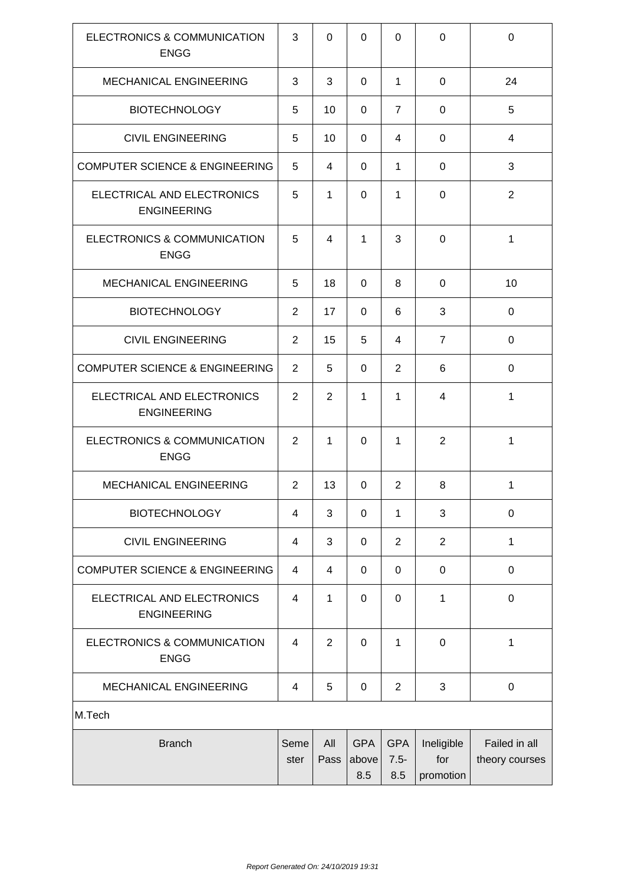| ELECTRONICS & COMMUNICATION<br><b>ENGG</b>       | 3              | $\Omega$       | $\Omega$                   | $\Omega$                     | $\Omega$                       | $\mathbf 0$                     |
|--------------------------------------------------|----------------|----------------|----------------------------|------------------------------|--------------------------------|---------------------------------|
| <b>MECHANICAL ENGINEERING</b>                    | 3              | 3              | $\Omega$                   | 1                            | 0                              | 24                              |
| <b>BIOTECHNOLOGY</b>                             | 5              | 10             | 0                          | $\overline{7}$               | $\Omega$                       | 5                               |
| <b>CIVIL ENGINEERING</b>                         | 5              | 10             | 0                          | 4                            | 0                              | $\overline{4}$                  |
| <b>COMPUTER SCIENCE &amp; ENGINEERING</b>        | 5              | 4              | 0                          | 1                            | $\Omega$                       | 3                               |
| ELECTRICAL AND ELECTRONICS<br><b>ENGINEERING</b> | 5              | 1              | $\Omega$                   | 1                            | 0                              | $\overline{2}$                  |
| ELECTRONICS & COMMUNICATION<br><b>ENGG</b>       | 5              | 4              | 1                          | 3                            | 0                              | 1                               |
| <b>MECHANICAL ENGINEERING</b>                    | 5              | 18             | 0                          | 8                            | 0                              | 10                              |
| <b>BIOTECHNOLOGY</b>                             | 2              | 17             | 0                          | 6                            | 3                              | $\mathbf 0$                     |
| <b>CIVIL ENGINEERING</b>                         | $\overline{2}$ | 15             | 5                          | $\overline{4}$               | $\overline{7}$                 | 0                               |
| <b>COMPUTER SCIENCE &amp; ENGINEERING</b>        | 2              | 5              | $\Omega$                   | 2                            | 6                              | 0                               |
| ELECTRICAL AND ELECTRONICS<br><b>ENGINEERING</b> | 2              | $\overline{2}$ | 1                          | 1                            | 4                              | 1                               |
| ELECTRONICS & COMMUNICATION<br><b>ENGG</b>       | 2              | 1              | $\Omega$                   | 1                            | 2                              | 1                               |
| MECHANICAL ENGINEERING                           | $\overline{2}$ | 13             | 0                          | $\overline{2}$               | 8                              | 1                               |
| <b>BIOTECHNOLOGY</b>                             | 4              | 3              | $\mathbf 0$                | 1                            | 3                              | $\mathbf 0$                     |
| <b>CIVIL ENGINEERING</b>                         | 4              | 3              | 0                          | $\overline{2}$               | $\overline{2}$                 | $\mathbf{1}$                    |
| <b>COMPUTER SCIENCE &amp; ENGINEERING</b>        | 4              | 4              | 0                          | $\mathbf 0$                  | 0                              | $\boldsymbol{0}$                |
| ELECTRICAL AND ELECTRONICS<br><b>ENGINEERING</b> | 4              | 1              | $\mathbf 0$                | $\mathbf 0$                  | 1                              | $\mathbf 0$                     |
| ELECTRONICS & COMMUNICATION<br><b>ENGG</b>       | 4              | $\overline{2}$ | 0                          | 1                            | 0                              | 1                               |
| MECHANICAL ENGINEERING                           | 4              | 5              | $\mathbf 0$                | $\overline{2}$               | 3                              | $\pmb{0}$                       |
| M.Tech                                           |                |                |                            |                              |                                |                                 |
| <b>Branch</b>                                    | Seme<br>ster   | All<br>Pass    | <b>GPA</b><br>above<br>8.5 | <b>GPA</b><br>$7.5 -$<br>8.5 | Ineligible<br>for<br>promotion | Failed in all<br>theory courses |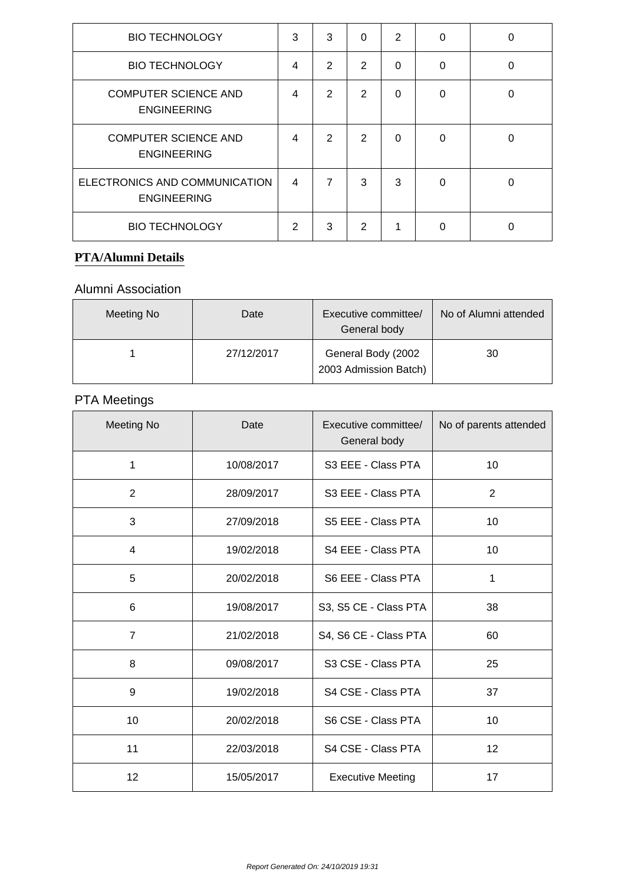| <b>BIO TECHNOLOGY</b>                               | 3              | 3              | $\Omega$       | $\overline{2}$ | $\Omega$ | 0 |
|-----------------------------------------------------|----------------|----------------|----------------|----------------|----------|---|
| <b>BIO TECHNOLOGY</b>                               | 4              | $\overline{2}$ | 2              | $\Omega$       | 0        | 0 |
| <b>COMPUTER SCIENCE AND</b><br><b>ENGINEERING</b>   | 4              | 2              | 2              | $\Omega$       | $\Omega$ | 0 |
| <b>COMPUTER SCIENCE AND</b><br><b>ENGINEERING</b>   | 4              | 2              | $\overline{2}$ | $\Omega$       | 0        | 0 |
| ELECTRONICS AND COMMUNICATION<br><b>ENGINEERING</b> | $\overline{4}$ | 7              | 3              | 3              | $\Omega$ | 0 |
| <b>BIO TECHNOLOGY</b>                               | 2              | 3              | $\mathcal{P}$  | 1              | 0        | 0 |

#### **PTA/Alumni Details**

#### Alumni Association

| Meeting No | Date       | Executive committee/<br>General body        | No of Alumni attended |
|------------|------------|---------------------------------------------|-----------------------|
|            | 27/12/2017 | General Body (2002<br>2003 Admission Batch) | 30                    |

# PTA Meetings

| <b>Meeting No</b> | Date       | Executive committee/<br>General body | No of parents attended |
|-------------------|------------|--------------------------------------|------------------------|
| 1                 | 10/08/2017 | S3 EEE - Class PTA                   | 10                     |
| 2                 | 28/09/2017 | S3 EEE - Class PTA                   | 2                      |
| 3                 | 27/09/2018 | S5 EEE - Class PTA                   | 10                     |
| $\overline{4}$    | 19/02/2018 | S4 EEE - Class PTA                   | 10                     |
| 5                 | 20/02/2018 | S6 EEE - Class PTA                   | 1                      |
| 6                 | 19/08/2017 | S3, S5 CE - Class PTA                | 38                     |
| $\overline{7}$    | 21/02/2018 | S4, S6 CE - Class PTA                | 60                     |
| 8                 | 09/08/2017 | S3 CSE - Class PTA                   | 25                     |
| 9                 | 19/02/2018 | S4 CSE - Class PTA                   | 37                     |
| 10                | 20/02/2018 | S6 CSE - Class PTA                   | 10                     |
| 11                | 22/03/2018 | S4 CSE - Class PTA                   | 12                     |
| 12                | 15/05/2017 | <b>Executive Meeting</b>             | 17                     |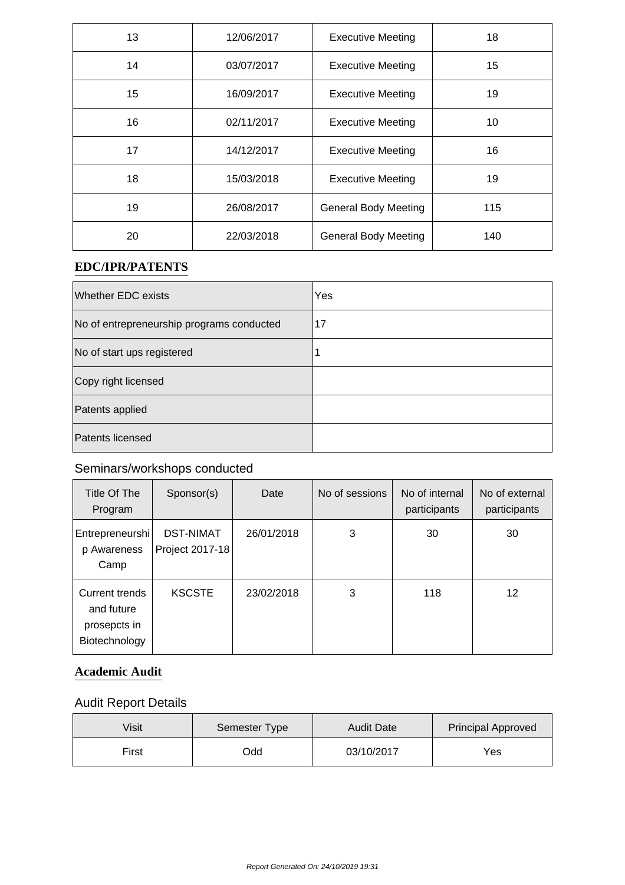| 13 | 12/06/2017 | <b>Executive Meeting</b>    | 18  |
|----|------------|-----------------------------|-----|
| 14 | 03/07/2017 | <b>Executive Meeting</b>    | 15  |
| 15 | 16/09/2017 | <b>Executive Meeting</b>    | 19  |
| 16 | 02/11/2017 | <b>Executive Meeting</b>    | 10  |
| 17 | 14/12/2017 | <b>Executive Meeting</b>    | 16  |
| 18 | 15/03/2018 | <b>Executive Meeting</b>    | 19  |
| 19 | 26/08/2017 | <b>General Body Meeting</b> | 115 |
| 20 | 22/03/2018 | <b>General Body Meeting</b> | 140 |

#### **EDC/IPR/PATENTS**

| <b>Whether EDC exists</b>                 | Yes |
|-------------------------------------------|-----|
| No of entrepreneurship programs conducted | 17  |
| No of start ups registered                |     |
| Copy right licensed                       |     |
| Patents applied                           |     |
| Patents licensed                          |     |

# Seminars/workshops conducted

| Title Of The<br>Program                                       | Sponsor(s)                          | Date       | No of sessions | No of internal<br>participants | No of external<br>participants |
|---------------------------------------------------------------|-------------------------------------|------------|----------------|--------------------------------|--------------------------------|
| Entrepreneurshi<br>p Awareness<br>Camp                        | <b>DST-NIMAT</b><br>Project 2017-18 | 26/01/2018 | 3              | 30                             | 30                             |
| Current trends<br>and future<br>prosepcts in<br>Biotechnology | <b>KSCSTE</b>                       | 23/02/2018 | 3              | 118                            | 12                             |

#### **Academic Audit**

# Audit Report Details

| Visit | Semester Type | <b>Audit Date</b> | <b>Principal Approved</b> |
|-------|---------------|-------------------|---------------------------|
| First | bbC           | 03/10/2017        | Yes                       |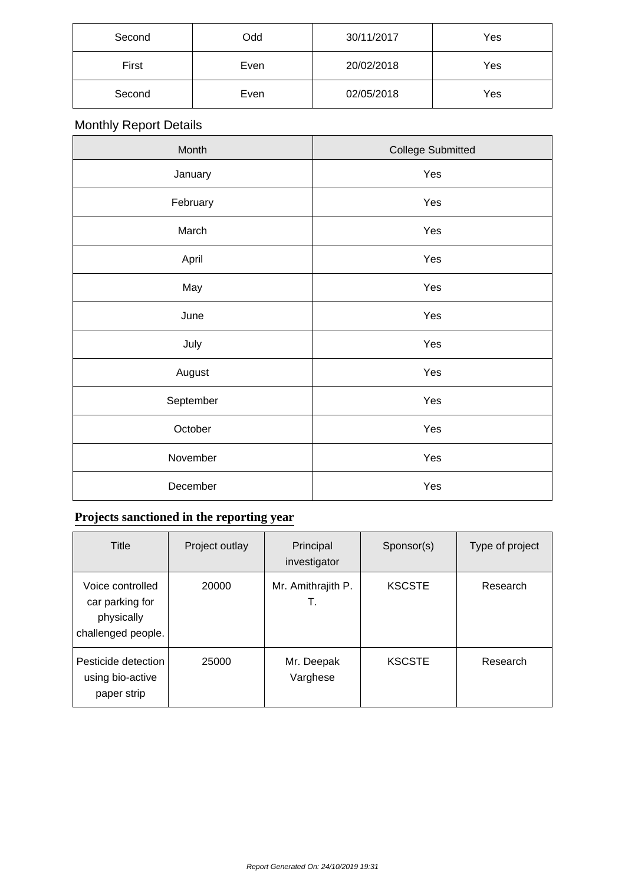| Second | Odd  | 30/11/2017 | Yes |
|--------|------|------------|-----|
| First  | Even | 20/02/2018 | Yes |
| Second | Even | 02/05/2018 | Yes |

# Monthly Report Details

| Month     | <b>College Submitted</b> |
|-----------|--------------------------|
| January   | Yes                      |
| February  | Yes                      |
| March     | Yes                      |
| April     | Yes                      |
| May       | Yes                      |
| June      | Yes                      |
| July      | Yes                      |
| August    | Yes                      |
| September | Yes                      |
| October   | Yes                      |
| November  | Yes                      |
| December  | Yes                      |

# **Projects sanctioned in the reporting year**

| Title                                                                   | Project outlay | Principal<br>investigator | Sponsor(s)    | Type of project |
|-------------------------------------------------------------------------|----------------|---------------------------|---------------|-----------------|
| Voice controlled<br>car parking for<br>physically<br>challenged people. | 20000          | Mr. Amithrajith P.<br>Т.  | <b>KSCSTE</b> | Research        |
| Pesticide detection<br>using bio-active<br>paper strip                  | 25000          | Mr. Deepak<br>Varghese    | <b>KSCSTE</b> | Research        |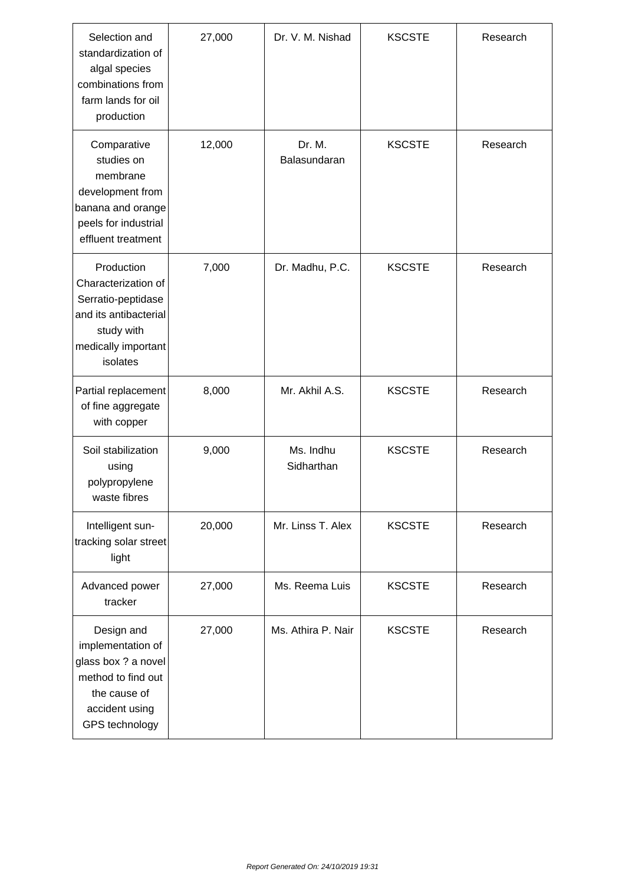| Selection and<br>standardization of<br>algal species<br>combinations from<br>farm lands for oil<br>production                     | 27,000 | Dr. V. M. Nishad                        | <b>KSCSTE</b> | Research |
|-----------------------------------------------------------------------------------------------------------------------------------|--------|-----------------------------------------|---------------|----------|
| Comparative<br>studies on<br>membrane<br>development from<br>banana and orange<br>peels for industrial<br>effluent treatment      | 12,000 | Dr. M.<br><b>KSCSTE</b><br>Balasundaran |               | Research |
| Production<br>Characterization of<br>Serratio-peptidase<br>and its antibacterial<br>study with<br>medically important<br>isolates | 7,000  | Dr. Madhu, P.C.                         | <b>KSCSTE</b> | Research |
| Partial replacement<br>of fine aggregate<br>with copper                                                                           | 8,000  | Mr. Akhil A.S.                          | <b>KSCSTE</b> | Research |
| Soil stabilization<br>using<br>polypropylene<br>waste fibres                                                                      | 9,000  | Ms. Indhu<br>Sidharthan                 | <b>KSCSTE</b> | Research |
| Intelligent sun-<br>tracking solar street<br>light                                                                                | 20,000 | Mr. Linss T. Alex                       | <b>KSCSTE</b> | Research |
| Advanced power<br>tracker                                                                                                         | 27,000 | Ms. Reema Luis                          | <b>KSCSTE</b> | Research |
| Design and<br>implementation of<br>glass box ? a novel<br>method to find out<br>the cause of<br>accident using<br>GPS technology  | 27,000 | Ms. Athira P. Nair                      | <b>KSCSTE</b> | Research |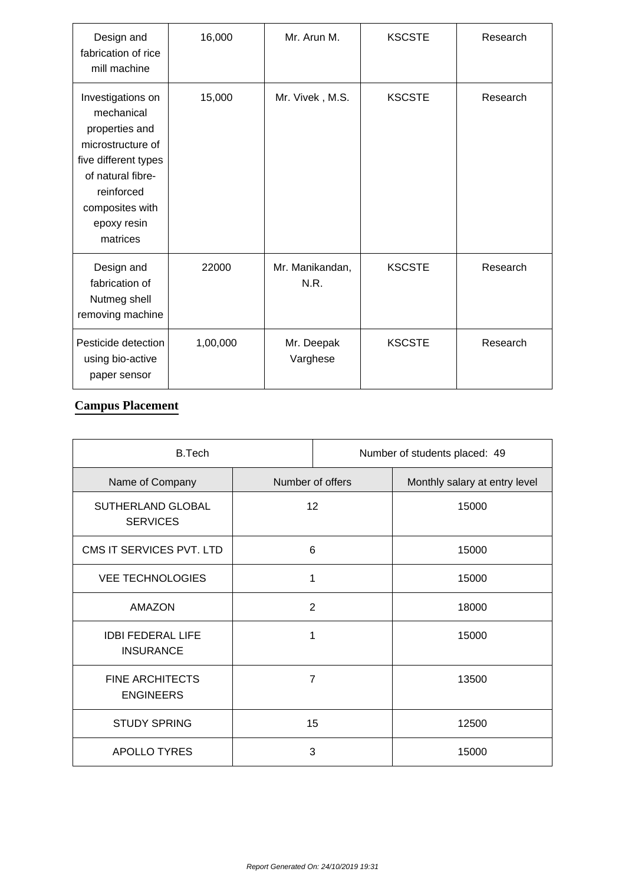| Design and<br>fabrication of rice<br>mill machine                                                                                                                               | 16,000   | Mr. Arun M.             | <b>KSCSTE</b> | Research |
|---------------------------------------------------------------------------------------------------------------------------------------------------------------------------------|----------|-------------------------|---------------|----------|
| Investigations on<br>mechanical<br>properties and<br>microstructure of<br>five different types<br>of natural fibre-<br>reinforced<br>composites with<br>epoxy resin<br>matrices | 15,000   | Mr. Vivek, M.S.         | <b>KSCSTE</b> | Research |
| Design and<br>fabrication of<br>Nutmeg shell<br>removing machine                                                                                                                | 22000    | Mr. Manikandan,<br>N.R. | <b>KSCSTE</b> | Research |
| Pesticide detection<br>using bio-active<br>paper sensor                                                                                                                         | 1,00,000 | Mr. Deepak<br>Varghese  | <b>KSCSTE</b> | Research |

#### **Campus Placement**

| <b>B.Tech</b>                                |                  | Number of students placed: 49 |                               |  |
|----------------------------------------------|------------------|-------------------------------|-------------------------------|--|
| Name of Company                              | Number of offers |                               | Monthly salary at entry level |  |
| SUTHERLAND GLOBAL<br><b>SERVICES</b>         | 12               |                               | 15000                         |  |
| CMS IT SERVICES PVT. LTD                     | 6                |                               | 15000                         |  |
| <b>VEE TECHNOLOGIES</b><br>1                 |                  |                               | 15000                         |  |
| AMAZON                                       | $\overline{2}$   |                               | 18000                         |  |
| <b>IDBI FEDERAL LIFE</b><br><b>INSURANCE</b> | 1                |                               | 15000                         |  |
| <b>FINE ARCHITECTS</b><br><b>ENGINEERS</b>   | 7                |                               | 13500                         |  |
| <b>STUDY SPRING</b>                          | 15               |                               | 12500                         |  |
| <b>APOLLO TYRES</b>                          |                  | 3                             | 15000                         |  |